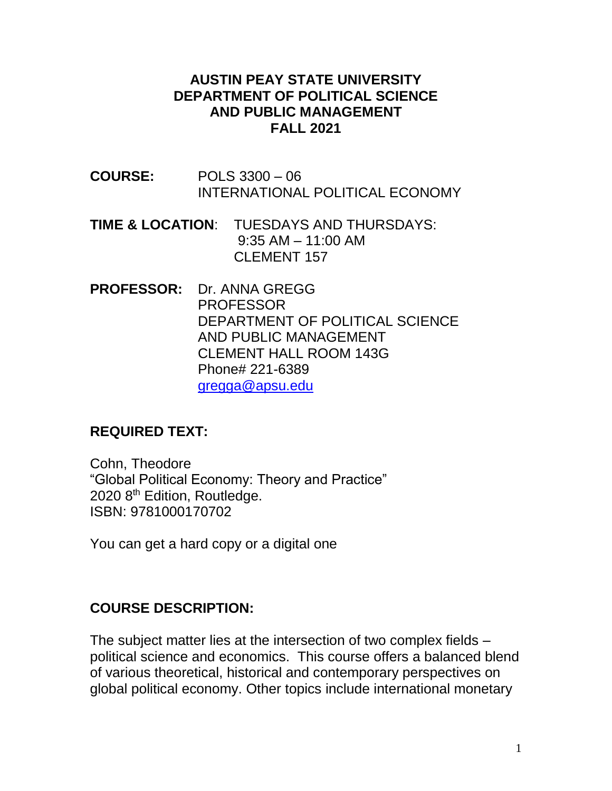### **AUSTIN PEAY STATE UNIVERSITY DEPARTMENT OF POLITICAL SCIENCE AND PUBLIC MANAGEMENT FALL 2021**

- **COURSE:** POLS 3300 06 INTERNATIONAL POLITICAL ECONOMY
- **TIME & LOCATION**: TUESDAYS AND THURSDAYS: 9:35 AM – 11:00 AM CLEMENT 157
- **PROFESSOR:** Dr. ANNA GREGG PROFESSOR DEPARTMENT OF POLITICAL SCIENCE AND PUBLIC MANAGEMENT CLEMENT HALL ROOM 143G Phone# 221-6389 [gregga@apsu.edu](mailto:gregga@apsu.edu)

### **REQUIRED TEXT:**

Cohn, Theodore "Global Political Economy: Theory and Practice" 2020 8<sup>th</sup> Edition, Routledge. ISBN: 9781000170702

You can get a hard copy or a digital one

### **COURSE DESCRIPTION:**

The subject matter lies at the intersection of two complex fields – political science and economics. This course offers a balanced blend of various theoretical, historical and contemporary perspectives on global political economy. Other topics include international monetary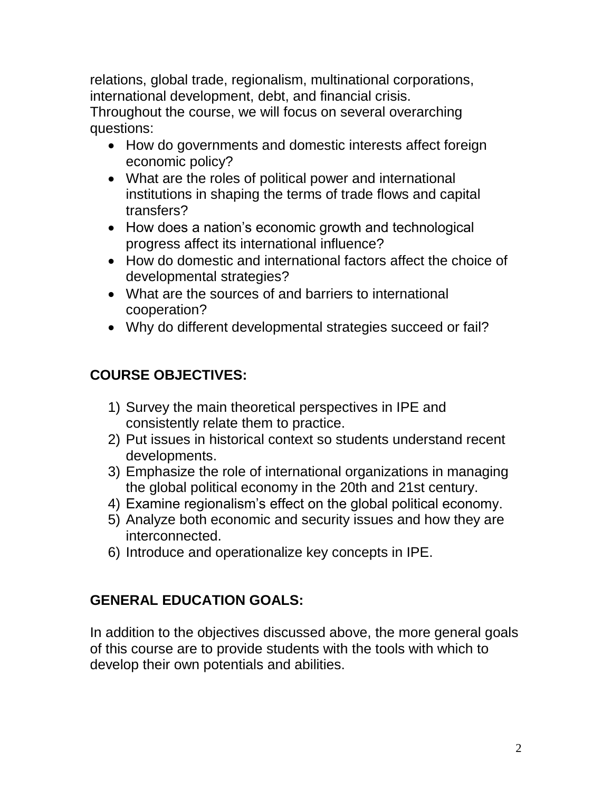relations, global trade, regionalism, multinational corporations, international development, debt, and financial crisis. Throughout the course, we will focus on several overarching questions:

- How do governments and domestic interests affect foreign economic policy?
- What are the roles of political power and international institutions in shaping the terms of trade flows and capital transfers?
- How does a nation's economic growth and technological progress affect its international influence?
- How do domestic and international factors affect the choice of developmental strategies?
- What are the sources of and barriers to international cooperation?
- Why do different developmental strategies succeed or fail?

# **COURSE OBJECTIVES:**

- 1) Survey the main theoretical perspectives in IPE and consistently relate them to practice.
- 2) Put issues in historical context so students understand recent developments.
- 3) Emphasize the role of international organizations in managing the global political economy in the 20th and 21st century.
- 4) Examine regionalism's effect on the global political economy.
- 5) Analyze both economic and security issues and how they are interconnected.
- 6) Introduce and operationalize key concepts in IPE.

# **GENERAL EDUCATION GOALS:**

In addition to the objectives discussed above, the more general goals of this course are to provide students with the tools with which to develop their own potentials and abilities.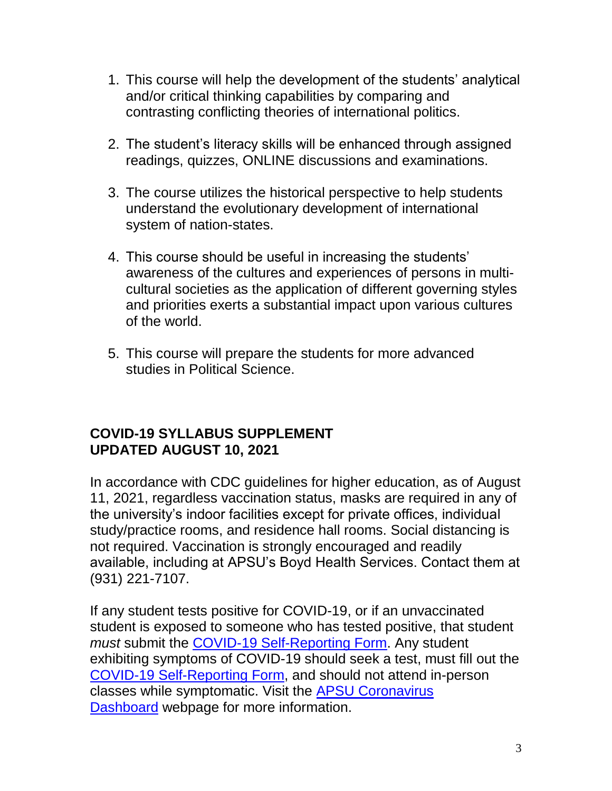- 1. This course will help the development of the students' analytical and/or critical thinking capabilities by comparing and contrasting conflicting theories of international politics.
- 2. The student's literacy skills will be enhanced through assigned readings, quizzes, ONLINE discussions and examinations.
- 3. The course utilizes the historical perspective to help students understand the evolutionary development of international system of nation-states.
- 4. This course should be useful in increasing the students' awareness of the cultures and experiences of persons in multicultural societies as the application of different governing styles and priorities exerts a substantial impact upon various cultures of the world.
- 5. This course will prepare the students for more advanced studies in Political Science.

### **COVID-19 SYLLABUS SUPPLEMENT UPDATED AUGUST 10, 2021**

In accordance with CDC guidelines for higher education, as of August 11, 2021, regardless vaccination status, masks are required in any of the university's indoor facilities except for private offices, individual study/practice rooms, and residence hall rooms. Social distancing is not required. Vaccination is strongly encouraged and readily available, including at APSU's Boyd Health Services. Contact them at (931) 221-7107.

If any student tests positive for COVID-19, or if an unvaccinated student is exposed to someone who has tested positive, that student *must* submit the [COVID-19 Self-Reporting Form.](https://cm.maxient.com/reportingform.php?AustinPeayStateUniv&layout_id=19) Any student exhibiting symptoms of COVID-19 should seek a test, must fill out the [COVID-19 Self-Reporting Form,](https://cm.maxient.com/reportingform.php?AustinPeayStateUniv&layout_id=19) and should not attend in-person classes while symptomatic. Visit the [APSU Coronavirus](https://apsu.edu/coronavirus/index.php)  [Dashboard](https://apsu.edu/coronavirus/index.php) webpage for more information.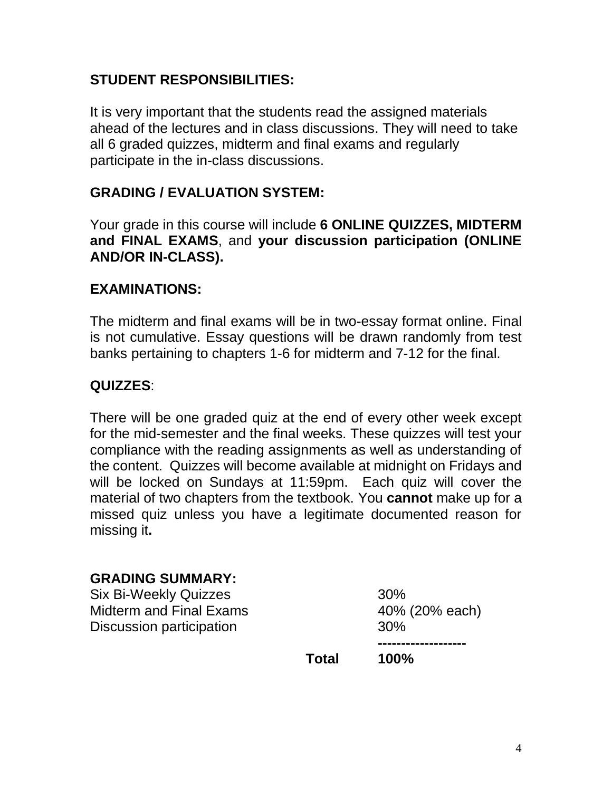### **STUDENT RESPONSIBILITIES:**

It is very important that the students read the assigned materials ahead of the lectures and in class discussions. They will need to take all 6 graded quizzes, midterm and final exams and regularly participate in the in-class discussions.

### **GRADING / EVALUATION SYSTEM:**

Your grade in this course will include **6 ONLINE QUIZZES, MIDTERM and FINAL EXAMS**, and **your discussion participation (ONLINE AND/OR IN-CLASS).**

#### **EXAMINATIONS:**

The midterm and final exams will be in two-essay format online. Final is not cumulative. Essay questions will be drawn randomly from test banks pertaining to chapters 1-6 for midterm and 7-12 for the final.

### **QUIZZES**:

There will be one graded quiz at the end of every other week except for the mid-semester and the final weeks. These quizzes will test your compliance with the reading assignments as well as understanding of the content. Quizzes will become available at midnight on Fridays and will be locked on Sundays at 11:59pm. Each quiz will cover the material of two chapters from the textbook. You **cannot** make up for a missed quiz unless you have a legitimate documented reason for missing it**.**

#### **GRADING SUMMARY:**

Six Bi-Weekly Quizzes 30% Midterm and Final Exams 40% (20% each) Discussion participation **30%** 

**-------------------**

**Total 100%**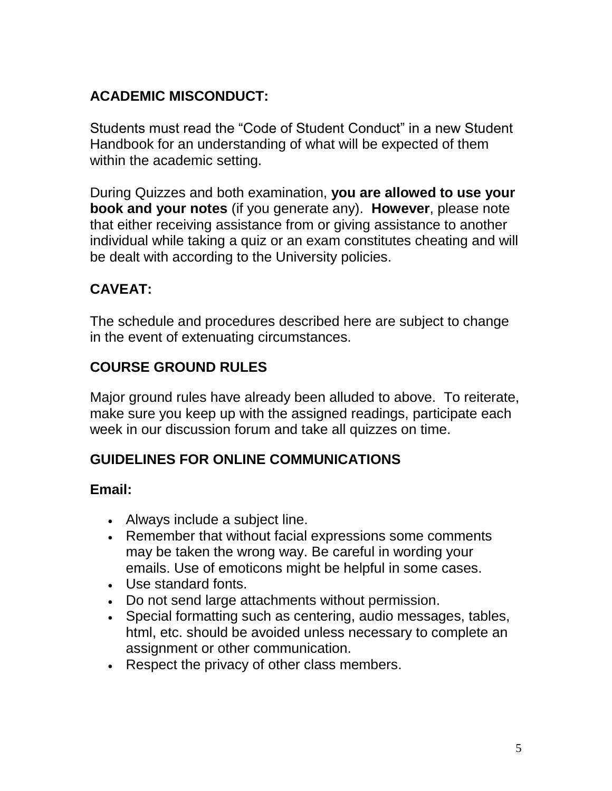# **ACADEMIC MISCONDUCT:**

Students must read the "Code of Student Conduct" in a new Student Handbook for an understanding of what will be expected of them within the academic setting.

During Quizzes and both examination, **you are allowed to use your book and your notes** (if you generate any). **However**, please note that either receiving assistance from or giving assistance to another individual while taking a quiz or an exam constitutes cheating and will be dealt with according to the University policies.

## **CAVEAT:**

The schedule and procedures described here are subject to change in the event of extenuating circumstances.

## **COURSE GROUND RULES**

Major ground rules have already been alluded to above. To reiterate, make sure you keep up with the assigned readings, participate each week in our discussion forum and take all quizzes on time.

## **GUIDELINES FOR ONLINE COMMUNICATIONS**

### **Email:**

- Always include a subject line.
- Remember that without facial expressions some comments may be taken the wrong way. Be careful in wording your emails. Use of emoticons might be helpful in some cases.
- Use standard fonts.
- Do not send large attachments without permission.
- Special formatting such as centering, audio messages, tables, html, etc. should be avoided unless necessary to complete an assignment or other communication.
- Respect the privacy of other class members.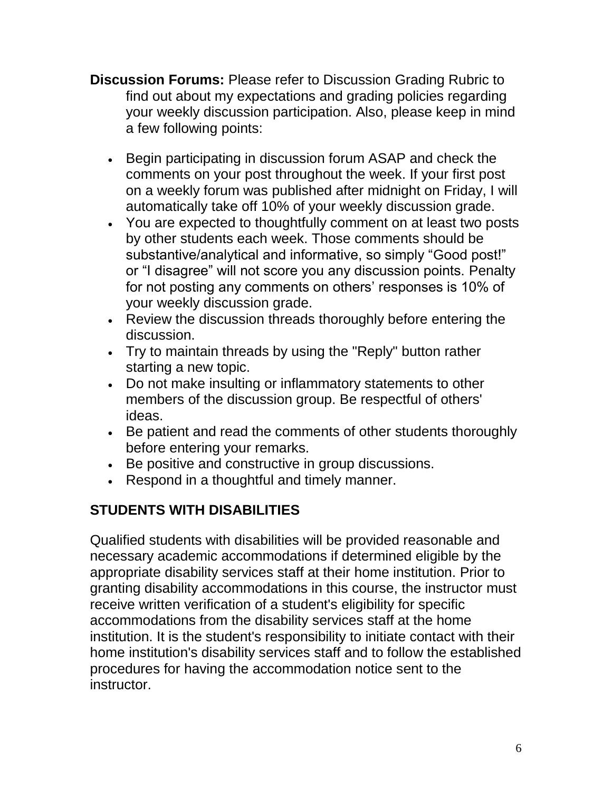- **Discussion Forums:** Please refer to Discussion Grading Rubric to find out about my expectations and grading policies regarding your weekly discussion participation. Also, please keep in mind a few following points:
	- **Begin participating in discussion forum ASAP and check the** comments on your post throughout the week. If your first post on a weekly forum was published after midnight on Friday, I will automatically take off 10% of your weekly discussion grade.
	- You are expected to thoughtfully comment on at least two posts by other students each week. Those comments should be substantive/analytical and informative, so simply "Good post!" or "I disagree" will not score you any discussion points. Penalty for not posting any comments on others' responses is 10% of your weekly discussion grade.
	- Review the discussion threads thoroughly before entering the discussion.
	- Try to maintain threads by using the "Reply" button rather starting a new topic.
	- Do not make insulting or inflammatory statements to other members of the discussion group. Be respectful of others' ideas.
	- Be patient and read the comments of other students thoroughly before entering your remarks.
	- Be positive and constructive in group discussions.
	- Respond in a thoughtful and timely manner.

# **STUDENTS WITH DISABILITIES**

Qualified students with disabilities will be provided reasonable and necessary academic accommodations if determined eligible by the appropriate disability services staff at their home institution. Prior to granting disability accommodations in this course, the instructor must receive written verification of a student's eligibility for specific accommodations from the disability services staff at the home institution. It is the student's responsibility to initiate contact with their home institution's disability services staff and to follow the established procedures for having the accommodation notice sent to the instructor.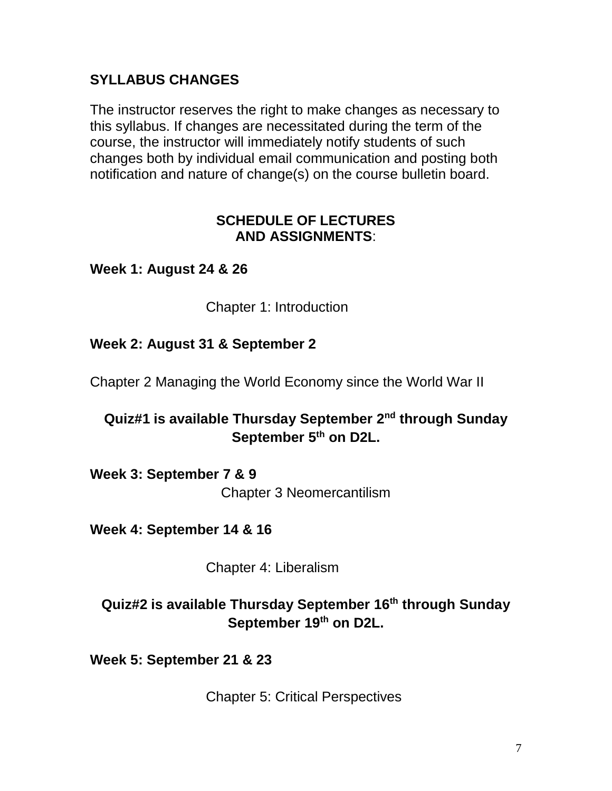## **SYLLABUS CHANGES**

The instructor reserves the right to make changes as necessary to this syllabus. If changes are necessitated during the term of the course, the instructor will immediately notify students of such changes both by individual email communication and posting both notification and nature of change(s) on the course bulletin board.

### **SCHEDULE OF LECTURES AND ASSIGNMENTS**:

### **Week 1: August 24 & 26**

Chapter 1: Introduction

### **Week 2: August 31 & September 2**

Chapter 2 Managing the World Economy since the World War II

### **Quiz#1 is available Thursday September 2nd through Sunday September 5th on D2L.**

**Week 3: September 7 & 9** Chapter 3 Neomercantilism

**Week 4: September 14 & 16**

Chapter 4: Liberalism

## **Quiz#2 is available Thursday September 16th through Sunday September 19 th on D2L.**

**Week 5: September 21 & 23**

Chapter 5: Critical Perspectives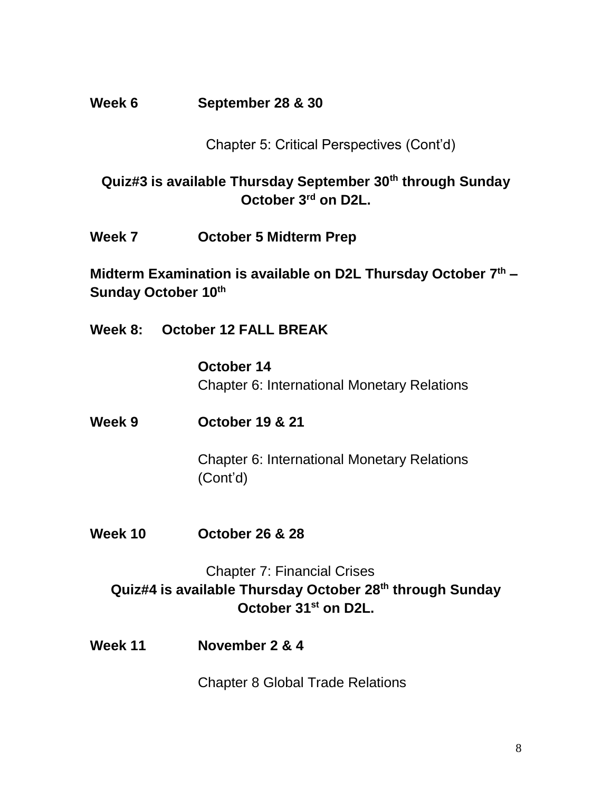### **Week 6 September 28 & 30**

Chapter 5: Critical Perspectives (Cont'd)

## **Quiz#3 is available Thursday September 30th through Sunday October 3 rd on D2L.**

**Week 7 October 5 Midterm Prep**

**Midterm Examination is available on D2L Thursday October 7 th – Sunday October 10th**

**Week 8: October 12 FALL BREAK**

**October 14** Chapter 6: International Monetary Relations

**Week 9 October 19 & 21**

Chapter 6: International Monetary Relations (Cont'd)

**Week 10 October 26 & 28**

## Chapter 7: Financial Crises **Quiz#4 is available Thursday October 28th through Sunday October 31st on D2L.**

**Week 11 November 2 & 4**

Chapter 8 Global Trade Relations